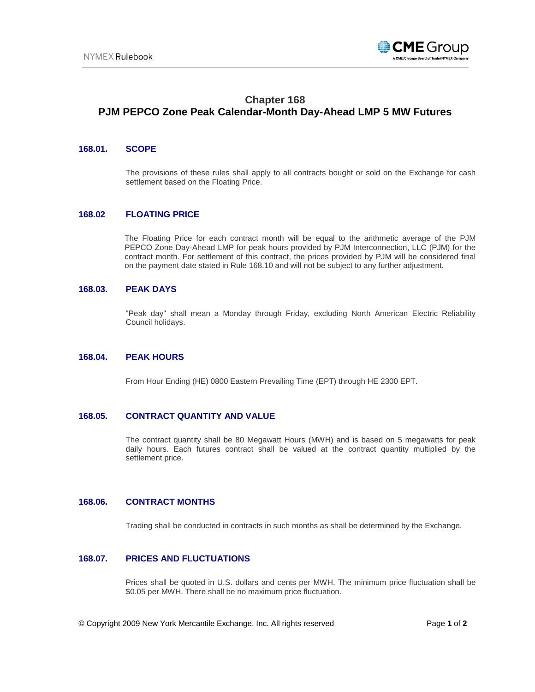

# **Chapter 168 PJM PEPCO Zone Peak Calendar-Month Day-Ahead LMP 5 MW Futures**

## **168.01. SCOPE**

The provisions of these rules shall apply to all contracts bought or sold on the Exchange for cash settlement based on the Floating Price.

#### **168.02 FLOATING PRICE**

The Floating Price for each contract month will be equal to the arithmetic average of the PJM PEPCO Zone Day-Ahead LMP for peak hours provided by PJM Interconnection, LLC (PJM) for the contract month. For settlement of this contract, the prices provided by PJM will be considered final on the payment date stated in Rule 168.10 and will not be subject to any further adjustment.

# **168.03. PEAK DAYS**

"Peak day" shall mean a Monday through Friday, excluding North American Electric Reliability Council holidays.

#### **168.04. PEAK HOURS**

From Hour Ending (HE) 0800 Eastern Prevailing Time (EPT) through HE 2300 EPT.

# **168.05. CONTRACT QUANTITY AND VALUE**

The contract quantity shall be 80 Megawatt Hours (MWH) and is based on 5 megawatts for peak daily hours. Each futures contract shall be valued at the contract quantity multiplied by the settlement price.

#### **168.06. CONTRACT MONTHS**

Trading shall be conducted in contracts in such months as shall be determined by the Exchange.

#### **168.07. PRICES AND FLUCTUATIONS**

Prices shall be quoted in U.S. dollars and cents per MWH. The minimum price fluctuation shall be \$0.05 per MWH. There shall be no maximum price fluctuation.

© Copyright 2009 New York Mercantile Exchange, Inc. All rights reserved Page **1** of **2**